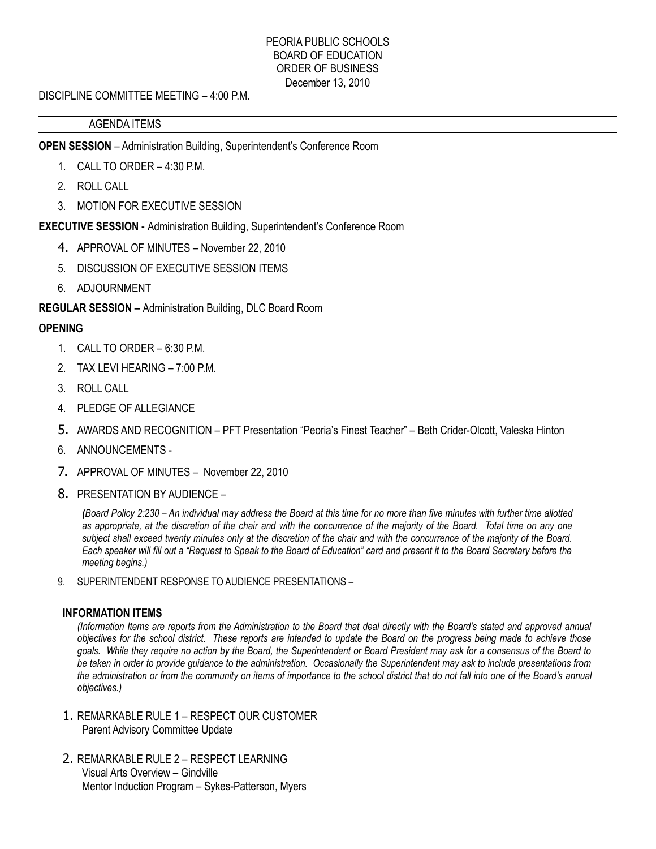## PEORIA PUBLIC SCHOOLS BOARD OF EDUCATION ORDER OF BUSINESS December 13, 2010

DISCIPLINE COMMITTEE MEETING – 4:00 P.M.

## AGENDA ITEMS

**OPEN SESSION** – Administration Building, Superintendent's Conference Room

- 1. CALL TO ORDER 4:30 P.M.
- 2. ROLL CALL
- 3. MOTION FOR EXECUTIVE SESSION

**EXECUTIVE SESSION -** Administration Building, Superintendent's Conference Room

- 4. APPROVAL OF MINUTES November 22, 2010
- 5. DISCUSSION OF EXECUTIVE SESSION ITEMS
- 6. ADJOURNMENT

**REGULAR SESSION –** Administration Building, DLC Board Room

# **OPENING**

- 1. CALL TO ORDER 6:30 P.M.
- 2. TAX LEVI HEARING 7:00 P.M.
- 3. ROLL CALL
- 4. PLEDGE OF ALLEGIANCE
- 5. AWARDS AND RECOGNITION PFT Presentation "Peoria's Finest Teacher" Beth Crider-Olcott, Valeska Hinton
- 6. ANNOUNCEMENTS -
- 7. APPROVAL OF MINUTES November 22, 2010
- 8. PRESENTATION BY AUDIENCE –

*(Board Policy 2:230 – An individual may address the Board at this time for no more than five minutes with further time allotted as appropriate, at the discretion of the chair and with the concurrence of the majority of the Board. Total time on any one subject shall exceed twenty minutes only at the discretion of the chair and with the concurrence of the majority of the Board. Each speaker will fill out a "Request to Speak to the Board of Education" card and present it to the Board Secretary before the meeting begins.)*

9. SUPERINTENDENT RESPONSE TO AUDIENCE PRESENTATIONS –

## **INFORMATION ITEMS**

*(Information Items are reports from the Administration to the Board that deal directly with the Board's stated and approved annual objectives for the school district. These reports are intended to update the Board on the progress being made to achieve those goals. While they require no action by the Board, the Superintendent or Board President may ask for a consensus of the Board to be taken in order to provide guidance to the administration. Occasionally the Superintendent may ask to include presentations from the administration or from the community on items of importance to the school district that do not fall into one of the Board's annual objectives.)*

- 1. REMARKABLE RULE 1 RESPECT OUR CUSTOMER Parent Advisory Committee Update
- 2. REMARKABLE RULE 2 RESPECT LEARNING Visual Arts Overview – Gindville Mentor Induction Program – Sykes-Patterson, Myers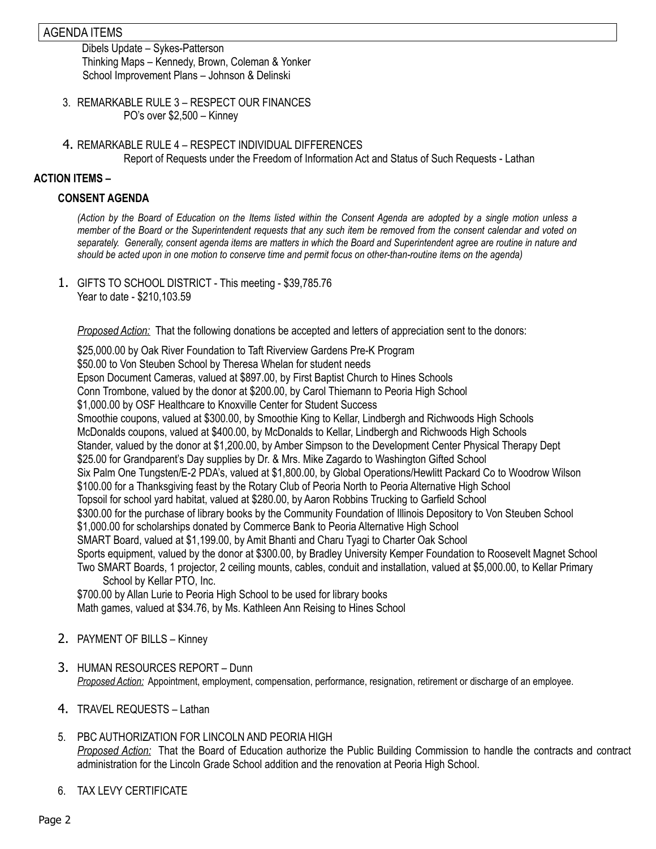## AGENDA ITEMS

Dibels Update – Sykes-Patterson Thinking Maps – Kennedy, Brown, Coleman & Yonker School Improvement Plans – Johnson & Delinski

- 3. REMARKABLE RULE 3 RESPECT OUR FINANCES PO's over \$2,500 – Kinney
- 4. REMARKABLE RULE 4 RESPECT INDIVIDUAL DIFFERENCES Report of Requests under the Freedom of Information Act and Status of Such Requests - Lathan

## **ACTION ITEMS –**

### **CONSENT AGENDA**

*(Action by the Board of Education on the Items listed within the Consent Agenda are adopted by a single motion unless a member of the Board or the Superintendent requests that any such item be removed from the consent calendar and voted on separately. Generally, consent agenda items are matters in which the Board and Superintendent agree are routine in nature and should be acted upon in one motion to conserve time and permit focus on other-than-routine items on the agenda)*

1. GIFTS TO SCHOOL DISTRICT - This meeting - \$39,785.76 Year to date - \$210,103.59

*Proposed Action:* That the following donations be accepted and letters of appreciation sent to the donors:

\$25,000.00 by Oak River Foundation to Taft Riverview Gardens Pre-K Program \$50.00 to Von Steuben School by Theresa Whelan for student needs Epson Document Cameras, valued at \$897.00, by First Baptist Church to Hines Schools Conn Trombone, valued by the donor at \$200.00, by Carol Thiemann to Peoria High School \$1,000.00 by OSF Healthcare to Knoxville Center for Student Success Smoothie coupons, valued at \$300.00, by Smoothie King to Kellar, Lindbergh and Richwoods High Schools McDonalds coupons, valued at \$400.00, by McDonalds to Kellar, Lindbergh and Richwoods High Schools Stander, valued by the donor at \$1,200.00, by Amber Simpson to the Development Center Physical Therapy Dept \$25.00 for Grandparent's Day supplies by Dr. & Mrs. Mike Zagardo to Washington Gifted School Six Palm One Tungsten/E-2 PDA's, valued at \$1,800.00, by Global Operations/Hewlitt Packard Co to Woodrow Wilson \$100.00 for a Thanksgiving feast by the Rotary Club of Peoria North to Peoria Alternative High School Topsoil for school yard habitat, valued at \$280.00, by Aaron Robbins Trucking to Garfield School \$300.00 for the purchase of library books by the Community Foundation of Illinois Depository to Von Steuben School \$1,000.00 for scholarships donated by Commerce Bank to Peoria Alternative High School SMART Board, valued at \$1,199.00, by Amit Bhanti and Charu Tyagi to Charter Oak School Sports equipment, valued by the donor at \$300.00, by Bradley University Kemper Foundation to Roosevelt Magnet School Two SMART Boards, 1 projector, 2 ceiling mounts, cables, conduit and installation, valued at \$5,000.00, to Kellar Primary School by Kellar PTO, Inc.

\$700.00 by Allan Lurie to Peoria High School to be used for library books Math games, valued at \$34.76, by Ms. Kathleen Ann Reising to Hines School

- 2. PAYMENT OF BILLS Kinney
- 3. HUMAN RESOURCES REPORT Dunn *Proposed Action:* Appointment, employment, compensation, performance, resignation, retirement or discharge of an employee.
- 4. TRAVEL REQUESTS Lathan
- 5. PBC AUTHORIZATION FOR LINCOLN AND PEORIA HIGH *Proposed Action:* That the Board of Education authorize the Public Building Commission to handle the contracts and contract administration for the Lincoln Grade School addition and the renovation at Peoria High School.
- 6. TAX LEVY CERTIFICATE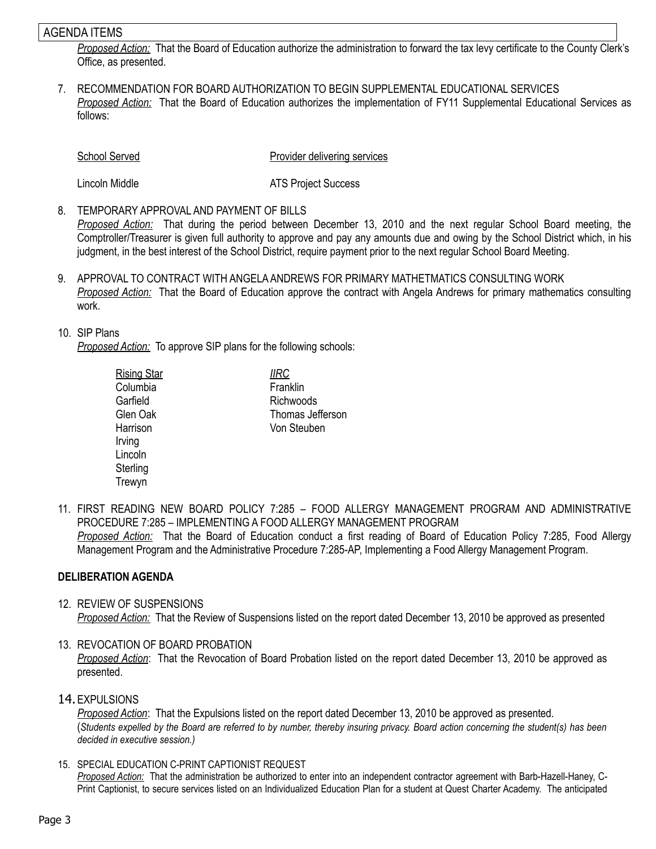## AGENDA ITEMS

*Proposed Action:* That the Board of Education authorize the administration to forward the tax levy certificate to the County Clerk's Office, as presented.

7. RECOMMENDATION FOR BOARD AUTHORIZATION TO BEGIN SUPPLEMENTAL EDUCATIONAL SERVICES *Proposed Action:* That the Board of Education authorizes the implementation of FY11 Supplemental Educational Services as follows:

School Served **Provider delivering services** 

Lincoln Middle **ATS** Project Success

8. TEMPORARY APPROVAL AND PAYMENT OF BILLS

*Proposed Action:* That during the period between December 13, 2010 and the next regular School Board meeting, the Comptroller/Treasurer is given full authority to approve and pay any amounts due and owing by the School District which, in his judgment, in the best interest of the School District, require payment prior to the next regular School Board Meeting.

9. APPROVAL TO CONTRACT WITH ANGELA ANDREWS FOR PRIMARY MATHETMATICS CONSULTING WORK *Proposed Action:* That the Board of Education approve the contract with Angela Andrews for primary mathematics consulting work.

## 10. SIP Plans

*Proposed Action:* To approve SIP plans for the following schools:

| <b>IIRC</b>      |  |
|------------------|--|
| Franklin         |  |
| Richwoods        |  |
| Thomas Jefferson |  |
| Von Steuben      |  |
|                  |  |

11. FIRST READING NEW BOARD POLICY 7:285 – FOOD ALLERGY MANAGEMENT PROGRAM AND ADMINISTRATIVE PROCEDURE 7:285 – IMPLEMENTING A FOOD ALLERGY MANAGEMENT PROGRAM *Proposed Action:* That the Board of Education conduct a first reading of Board of Education Policy 7:285, Food Allergy Management Program and the Administrative Procedure 7:285-AP, Implementing a Food Allergy Management Program.

## **DELIBERATION AGENDA**

#### 12. REVIEW OF SUSPENSIONS *Proposed Action:* That the Review of Suspensions listed on the report dated December 13, 2010 be approved as presented

## 13. REVOCATION OF BOARD PROBATION

*Proposed Action*: That the Revocation of Board Probation listed on the report dated December 13, 2010 be approved as presented.

#### 14.EXPULSIONS

*Proposed Action*: That the Expulsions listed on the report dated December 13, 2010 be approved as presented. (*Students expelled by the Board are referred to by number, thereby insuring privacy. Board action concerning the student(s) has been decided in executive session.)*

15. SPECIAL EDUCATION C-PRINT CAPTIONIST REQUEST *Proposed Action:* That the administration be authorized to enter into an independent contractor agreement with Barb-Hazell-Haney, C-Print Captionist, to secure services listed on an Individualized Education Plan for a student at Quest Charter Academy. The anticipated